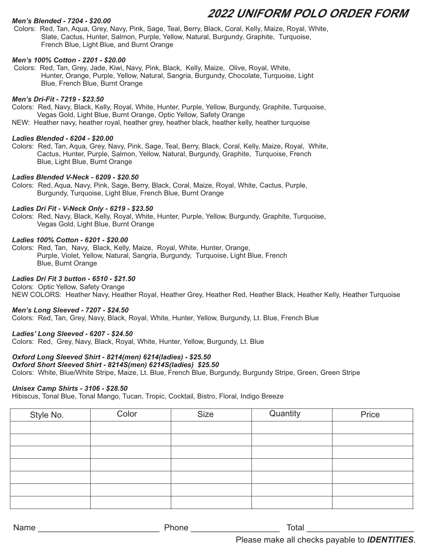# *Men's Blended - 7204 - \$20.00*

 Colors: Red, Tan, Aqua, Grey, Navy, Pink, Sage, Teal, Berry, Black, Coral, Kelly, Maize, Royal, White, Slate, Cactus, Hunter, Salmon, Purple, Yellow, Natural, Burgundy, Graphite, Turquoise, French Blue, Light Blue, and Burnt Orange

# *Men's 100% Cotton - 2201 - \$20.00*

 Colors: Red, Tan, Grey, Jade, Kiwi, Navy, Pink, Black, Kelly, Maize, Olive, Royal, White, Hunter, Orange, Purple, Yellow, Natural, Sangria, Burgundy, Chocolate, Turquoise, Light Blue, French Blue, Burnt Orange

### *Men's Dri-Fit - 7219 - \$23.50*

Colors: Red, Navy, Black, Kelly, Royal, White, Hunter, Purple, Yellow, Burgundy, Graphite, Turquoise, Vegas Gold, Light Blue, Burnt Orange, Optic Yellow, Safety Orange NEW: Heather navy, heather royal, heather grey, heather black, heather kelly, heather turquoise

## *Ladies Blended - 6204 - \$20.00*

Colors: Red, Tan, Aqua, Grey, Navy, Pink, Sage, Teal, Berry, Black, Coral, Kelly, Maize, Royal, White, Cactus, Hunter, Purple, Salmon, Yellow, Natural, Burgundy, Graphite, Turquoise, French Blue, Light Blue, Burnt Orange

### *Ladies Blended V-Neck - 6209 - \$20.50*

Colors: Red, Aqua, Navy, Pink, Sage, Berry, Black, Coral, Maize, Royal, White, Cactus, Purple, Burgundy, Turquoise, Light Blue, French Blue, Burnt Orange

## *Ladies Dri Fit - V-Neck Only - 6219 - \$23.50*

Colors: Red, Navy, Black, Kelly, Royal, White, Hunter, Purple, Yellow, Burgundy, Graphite, Turquoise, Vegas Gold, Light Blue, Burnt Orange

### *Ladies 100% Cotton - 6201 - \$20.00*

Colors: Red, Tan, Navy, Black, Kelly, Maize, Royal, White, Hunter, Orange, Purple, Violet, Yellow, Natural, Sangria, Burgundy, Turquoise, Light Blue, French Blue, Burnt Orange

# *Ladies Dri Fit 3 button - 6510 - \$21.50*

Colors: Optic Yellow, Safety Orange NEW COLORS: Heather Navy, Heather Royal, Heather Grey, Heather Red, Heather Black, Heather Kelly, Heather Turquoise

# *Men's Long Sleeved - 7207 - \$24.50*

Colors: Red, Tan, Grey, Navy, Black, Royal, White, Hunter, Yellow, Burgundy, Lt. Blue, French Blue

# *Ladies' Long Sleeved - 6207 - \$24.50*

Colors: Red, Grey, Navy, Black, Royal, White, Hunter, Yellow, Burgundy, Lt. Blue

# *Oxford Long Sleeved Shirt - 8214(men) 6214(ladies) - \$25.50*

# *Oxford Short Sleeved Shirt - 8214S(men) 6214S(ladies) \$25.50*

Colors: White, Blue/White Stripe, Maize, Lt. Blue, French Blue, Burgundy, Burgundy Stripe, Green, Green Stripe

# *Unisex Camp Shirts - 3106 - \$28.50*

Hibiscus, Tonal Blue, Tonal Mango, Tucan, Tropic, Cocktail, Bistro, Floral, Indigo Breeze

| Style No. | Color | Size | Quantity | Price |
|-----------|-------|------|----------|-------|
|           |       |      |          |       |
|           |       |      |          |       |
|           |       |      |          |       |
|           |       |      |          |       |
|           |       |      |          |       |
|           |       |      |          |       |
|           |       |      |          |       |